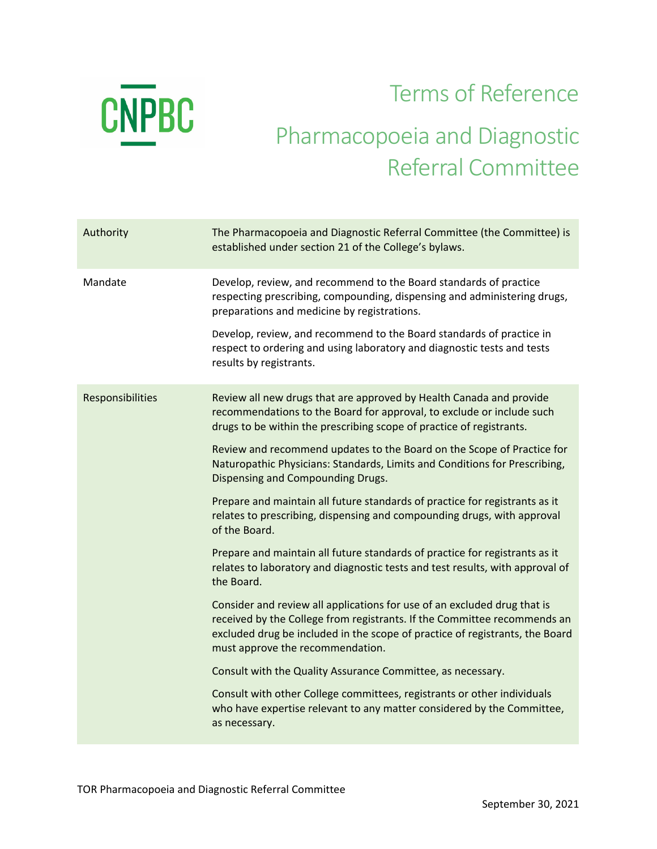

## Terms of Reference Pharmacopoeia and Diagnostic Referral Committee

| Authority        | The Pharmacopoeia and Diagnostic Referral Committee (the Committee) is<br>established under section 21 of the College's bylaws.                                                                                                                                          |
|------------------|--------------------------------------------------------------------------------------------------------------------------------------------------------------------------------------------------------------------------------------------------------------------------|
| Mandate          | Develop, review, and recommend to the Board standards of practice<br>respecting prescribing, compounding, dispensing and administering drugs,<br>preparations and medicine by registrations.                                                                             |
|                  | Develop, review, and recommend to the Board standards of practice in<br>respect to ordering and using laboratory and diagnostic tests and tests<br>results by registrants.                                                                                               |
| Responsibilities | Review all new drugs that are approved by Health Canada and provide<br>recommendations to the Board for approval, to exclude or include such<br>drugs to be within the prescribing scope of practice of registrants.                                                     |
|                  | Review and recommend updates to the Board on the Scope of Practice for<br>Naturopathic Physicians: Standards, Limits and Conditions for Prescribing,<br>Dispensing and Compounding Drugs.                                                                                |
|                  | Prepare and maintain all future standards of practice for registrants as it<br>relates to prescribing, dispensing and compounding drugs, with approval<br>of the Board.                                                                                                  |
|                  | Prepare and maintain all future standards of practice for registrants as it<br>relates to laboratory and diagnostic tests and test results, with approval of<br>the Board.                                                                                               |
|                  | Consider and review all applications for use of an excluded drug that is<br>received by the College from registrants. If the Committee recommends an<br>excluded drug be included in the scope of practice of registrants, the Board<br>must approve the recommendation. |
|                  | Consult with the Quality Assurance Committee, as necessary.                                                                                                                                                                                                              |
|                  | Consult with other College committees, registrants or other individuals<br>who have expertise relevant to any matter considered by the Committee,<br>as necessary.                                                                                                       |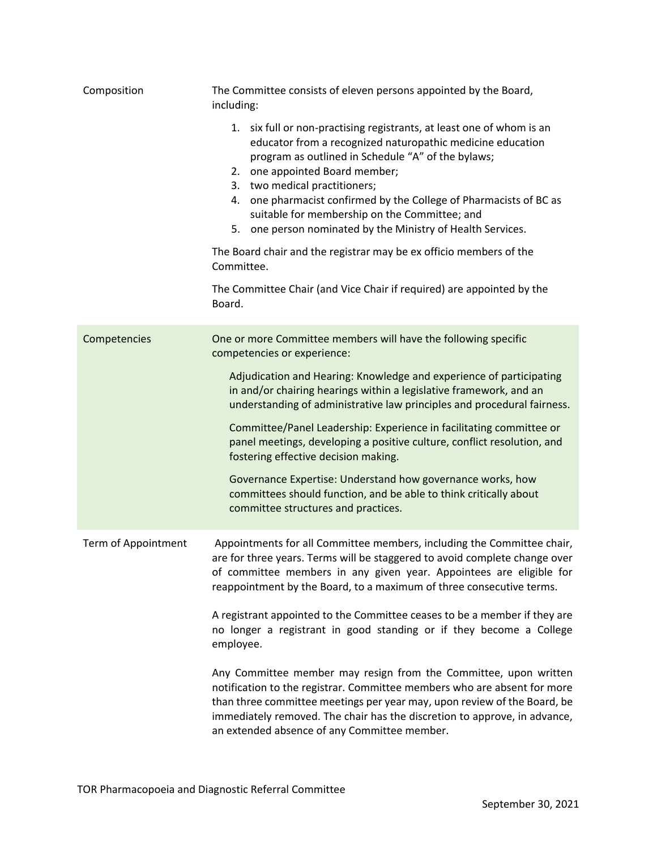| Composition         | The Committee consists of eleven persons appointed by the Board,<br>including:                                                                                                                                                                                                                                                                                                                                                                                                                                                                                                                                            |
|---------------------|---------------------------------------------------------------------------------------------------------------------------------------------------------------------------------------------------------------------------------------------------------------------------------------------------------------------------------------------------------------------------------------------------------------------------------------------------------------------------------------------------------------------------------------------------------------------------------------------------------------------------|
|                     | 1. six full or non-practising registrants, at least one of whom is an<br>educator from a recognized naturopathic medicine education<br>program as outlined in Schedule "A" of the bylaws;<br>2. one appointed Board member;<br>3. two medical practitioners;<br>4. one pharmacist confirmed by the College of Pharmacists of BC as<br>suitable for membership on the Committee; and<br>5. one person nominated by the Ministry of Health Services.<br>The Board chair and the registrar may be ex officio members of the<br>Committee.<br>The Committee Chair (and Vice Chair if required) are appointed by the<br>Board. |
| Competencies        | One or more Committee members will have the following specific<br>competencies or experience:                                                                                                                                                                                                                                                                                                                                                                                                                                                                                                                             |
|                     | Adjudication and Hearing: Knowledge and experience of participating<br>in and/or chairing hearings within a legislative framework, and an<br>understanding of administrative law principles and procedural fairness.<br>Committee/Panel Leadership: Experience in facilitating committee or<br>panel meetings, developing a positive culture, conflict resolution, and                                                                                                                                                                                                                                                    |
|                     | fostering effective decision making.                                                                                                                                                                                                                                                                                                                                                                                                                                                                                                                                                                                      |
|                     | Governance Expertise: Understand how governance works, how<br>committees should function, and be able to think critically about<br>committee structures and practices.                                                                                                                                                                                                                                                                                                                                                                                                                                                    |
| Term of Appointment | Appointments for all Committee members, including the Committee chair,<br>are for three years. Terms will be staggered to avoid complete change over<br>of committee members in any given year. Appointees are eligible for<br>reappointment by the Board, to a maximum of three consecutive terms.                                                                                                                                                                                                                                                                                                                       |
|                     | A registrant appointed to the Committee ceases to be a member if they are<br>no longer a registrant in good standing or if they become a College<br>employee.                                                                                                                                                                                                                                                                                                                                                                                                                                                             |
|                     | Any Committee member may resign from the Committee, upon written<br>notification to the registrar. Committee members who are absent for more<br>than three committee meetings per year may, upon review of the Board, be<br>immediately removed. The chair has the discretion to approve, in advance,<br>an extended absence of any Committee member.                                                                                                                                                                                                                                                                     |